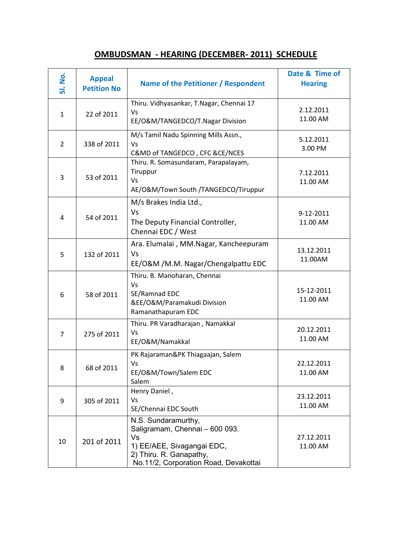| <b>SI. No.</b> | <b>Appeal</b><br><b>Petition No</b> | Name of the Petitioner / Respondent                                                                                                                           | Date & Time of<br><b>Hearing</b> |
|----------------|-------------------------------------|---------------------------------------------------------------------------------------------------------------------------------------------------------------|----------------------------------|
| $\mathbf{1}$   | 22 of 2011                          | Thiru. Vidhyasankar, T.Nagar, Chennai 17<br>Vs<br>EE/O&M/TANGEDCO/T.Nagar Division                                                                            | 2.12.2011<br>11.00 AM            |
| $\overline{2}$ | 338 of 2011                         | M/s Tamil Nadu Spinning Mills Assn.,<br>Vs<br>C&MD of TANGEDCO, CFC &CE/NCES                                                                                  | 5.12.2011<br>3.00 PM             |
| 3              | 53 of 2011                          | Thiru. R. Somasundaram, Parapalayam,<br>Tiruppur<br>Vs<br>AE/O&M/Town South /TANGEDCO/Tiruppur                                                                | 7.12.2011<br>11.00 AM            |
| 4              | 54 of 2011                          | M/s Brakes India Ltd.,<br>Vs<br>The Deputy Financial Controller,<br>Chennai EDC / West                                                                        | 9-12-2011<br>11.00 AM            |
| 5              | 132 of 2011                         | Ara. Elumalai, MM.Nagar, Kancheepuram<br>Vs<br>EE/O&M /M.M. Nagar/Chengalpattu EDC                                                                            | 13.12.2011<br>11.00AM            |
| 6              | 58 of 2011                          | Thiru. B. Manoharan, Chennai<br>Vs<br>SE/Ramnad EDC<br>&EE/O&M/Paramakudi Division<br>Ramanathapuram EDC                                                      | 15-12-2011<br>11.00 AM           |
| $\overline{7}$ | 275 of 2011                         | Thiru. PR Varadharajan, Namakkal<br>Vs<br>EE/O&M/Namakkal                                                                                                     | 20.12.2011<br>11.00 AM           |
| 8              | 68 of 2011                          | PK Rajaraman&PK Thiagaajan, Salem<br>Vs<br>EE/O&M/Town/Salem EDC<br>Salem                                                                                     | 22.12.2011<br>11.00 AM           |
| 9              | 305 of 2011                         | Henry Daniel,<br>Vs<br>SE/Chennai EDC South                                                                                                                   | 23.12.2011<br>11.00 AM           |
| 10             | 201 of 2011                         | N.S. Sundaramurthy,<br>Saligramam, Chennai - 600 093.<br>Vs<br>1) EE/AEE, Sivagangai EDC,<br>2) Thiru. R. Ganapathy,<br>No.11/2, Corporation Road, Devakottai | 27.12.2011<br>11.00 AM           |

## OMBUDSMAN - HEARING (DECEMBER- 2011) SCHEDULE